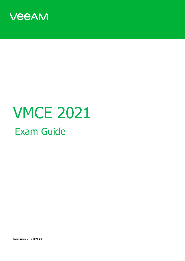

# VMCE 2021 Exam Guide

Revision 20210930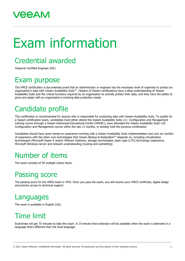## **REAM**

## Exam information

## Credential awarded

Veeam® Certified Engineer 2021

### Exam purpose

The VMCE certification is documented proof that an administrator or engineer has the necessary level of expertise to protect an organization's data with Veeam Availability Suite™. Holders of Veeam certifications have a deep understanding of Veeam Availability Suite and the critical functions required by an organization to actively protect their data, and they have the ability to grow and adapt with an organization's evolving data protection needs.

## Candidate profile

This certification is recommended for anyone who is responsible for protecting data with Veeam Availability Suite. To qualify for a Veeam certification exam, candidates must either attend the Veeam Availability Suite v11: Configuration and Management training course through a Veeam Authorized Educational Center (VMAEC), have attended the Veeam Availability Suite v10: Configuration and Management course within the last 12 months, or already hold the previous certification.

Candidates should have some hands-on experience working with a Veeam Availability Suite implementation and over six months of experience with the other core technologies that Veeam Backup & Replication™ depends on, including virtualization technologies (Microsoft Hyper-V and/or VMware vSphere), storage technologies, basic tape (LTO) technology experience, Microsoft Windows server and network understanding (routing and subnetting).

## Number of items

The exam consists of 50 multiple choice items.

## Passing score

The passing score for the VMCE exam is 70%. Once you pass the exam, you will receive your VMCE certificate, digital badge and priority access to technical support.

#### **Languages**

The exam is available in English (US).

## Time limit

Examinees will get 75 minutes to take the exam. A 15-minute time extension will be available when the exam is delivered in a language that's different than the local language.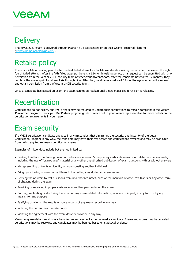## **Delivery**

The VMCE 2021 exam is delivered through Pearson VUE test centers or on their Online Proctored Platform [\(https://home.pearsonvue.com/\)](https://home.pearsonvue.com/).

## Retake policy

There is a 24-hour waiting period after the first failed attempt and a 14-calendar-day waiting period after the second through fourth failed attempt. After the fifth failed attempt, there is a 12-month waiting period, or a request can be submitted with prior permission from the Veeam VMCE security team at vmce.fraud@veeam.com. After the candidate has waited 12 months, they can take the exam again for attempt six through nine. After that, candidates must wait 12 months again, or submit a request and obtain permission from the Veeam VMCE security team.

Once a candidate has passed an exam, the exam cannot be retaken until a new major exam revision is released.

## Recertification

Certifications do not expire, but **Pro**Partners may be required to update their certifications to remain compliant in the Veeam **Pro**Partner program. Check your **Pro**Partner program guide or reach out to your Veeam representative for more details on the certification requirements in your region.

## Exam security

If a VMCE certification candidate engages in any misconduct that diminishes the security and integrity of the Veeam Certification Program in any way, the candidate may have their test scores and certifications revoked and may be prohibited from taking any future Veeam certification exams.

Examples of misconduct include but are not limited to:

- Seeking to obtain or obtaining unauthorized access to Veeam's proprietary certification exams or related course materials, including the use of "brain-dump" material or any other unauthorized publication of exam questions with or without answers
- Misrepresenting or falsifying identity or impersonating another individual
- Bringing or having non-authorized items in the testing area during an exam session
- Deriving the answers to test questions from unauthorized notes, cues or the monitors of other test takers or any other form of cheating during the exam
- Providing or receiving improper assistance to another person during the exam
- Copying, replicating or disclosing the exam or any exam related information, in whole or in part, in any form or by any means, for any purpose
- Falsifying or altering the results or score reports of any exam record in any way
- Violating the current exam retake policy
- Violating the agreement with the exam delivery provider in any way

Veeam may use data forensics as a basis for an enforcement action against a candidate. Exams and scores may be canceled, certifications may be revoked, and candidates may be banned based on statistical evidence.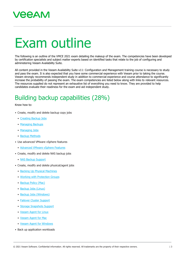## Exam outline

The following is an outline of the VMCE 2021 exam detailing the makeup of the exam. The competencies have been developed by certification specialists and subject matter experts based on identified tasks that relate to the job of configuring and administering Veeam Availability Suite.

All content provided in the Veeam Availability Suite v11: Configuration and Management training course is necessary to study and pass the exam. It is also expected that you have some commercial experience with Veeam prior to taking the course. Veeam strongly recommends independent study in addition to commercial experience and course attendance to significantly increase the probability of passing the exam. The exam competencies are listed below along with links to relevant resources. The resources supplied do not represent an exhaustive list of everything you need to know. They are provided to help candidates evaluate their readiness for the exam and aid independent study.

#### Building backup capabilities (28%)

- Create, modify and delete backup copy jobs
	- [Creating Backup Jobs](https://helpcenter.veeam.com/docs/backup/vsphere/backup_job.html?ver=110)
	- [Managing Backups](https://helpcenter.veeam.com/docs/backup/vsphere/managing_backups.html?ver=110)
	- [Managing Jobs](https://helpcenter.veeam.com/docs/backup/vsphere/managing_jobs.html?ver=110)
	- [Backup Methods](https://helpcenter.veeam.com/docs/backup/vsphere/backup_methods.html?ver=110)
- Use advanced VMware vSphere features
	- [Advanced VMware vSphere Features](https://helpcenter.veeam.com/docs/backup/vsphere/vmware_features.html?ver=110)
- Create, modify and delete NAS backup jobs
	- [NAS Backup Support](https://helpcenter.veeam.com/docs/backup/vsphere/file_share_support.html?ver=110)
- Create, modify and delete physical/agent jobs
	- [Backing Up Physical Machines](https://helpcenter.veeam.com/docs/backup/qsg_vsphere/agent_backup.html?ver=110)
	- [Working with Protection Groups](https://helpcenter.veeam.com/docs/backup/agents/protection_group_tasks.html?ver=110)
	- [Backup Policy \(Mac\)](https://helpcenter.veeam.com/docs/backup/agents/agent_policy_create_mac.html?ver=110)
	- [Backup Jobs \(Linux\)](https://helpcenter.veeam.com/docs/agentforlinux/userguide/backup_job_create.html?ver=50)
	- [Backup Jobs \(Windows\)](https://helpcenter.veeam.com/docs/agentforwindows/userguide/backup_job_create.html?ver=50)
	- [Failover Cluster Support](https://helpcenter.veeam.com/docs/backup/agents/cluster_support.html?ver=110)
	- [Storage Snapshots Support](https://helpcenter.veeam.com/docs/backup/agents/storage_systems.html?ver=110)
	- [Veeam Agent for Linux](https://helpcenter.veeam.com/docs/agentforlinux/userguide/overview.html?ver=50)
	- [Veeam Agent for Mac](https://helpcenter.veeam.com/docs/agentformac/userguide/overview.html)
	- [Veeam Agent for Windows](https://helpcenter.veeam.com/docs/agentforwindows/userguide/overview.html?ver=50)
- Back up application workloads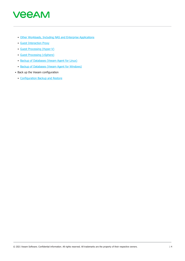

- [Other Workloads, Including NAS and Enterprise Applications](https://helpcenter.veeam.com/docs/vcsp/refguide/other_workloads.html)
- [Guest Interaction Proxy](https://helpcenter.veeam.com/docs/backup/vsphere/guest_interaction_proxy.html?ver=110)
- [Guest Processing \(Hyper-V\)](https://helpcenter.veeam.com/docs/backup/hyperv/guest_processing.html?ver=110)
- [Guest Processing \(vSphere\)](https://helpcenter.veeam.com/docs/backup/vsphere/guest_processing.html?ver=110)
- [Backup of Databases \(Veeam Agent for Linux\)](https://helpcenter.veeam.com/docs/agentforlinux/userguide/database_processing.html?ver=50)
- [Backup of Databases \(Veeam Agent for Windows\)](https://helpcenter.veeam.com/docs/agentforwindows/userguide/sql_backup.html?ver=50)
- Back up the Veeam configuration
	- [Configuration Backup and Restore](https://helpcenter.veeam.com/docs/backup/vsphere/vbr_config.html?ver=110)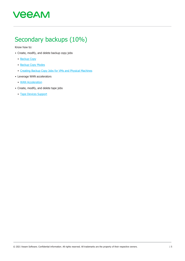## Secondary backups (10%)

- Create, modify, and delete backup copy jobs
	- [Backup Copy](https://helpcenter.veeam.com/docs/backup/hyperv/backup_copy.html?ver=110)
	- [Backup Copy Modes](https://helpcenter.veeam.com/docs/backup/vsphere/backup_copy_modes.html?ver=110)
	- [Creating Backup Copy Jobs for VMs and Physical Machines](https://helpcenter.veeam.com/docs/backup/vsphere/backup_copy_create.html?ver=110)
- Leverage WAN accelerators
	- [WAN Acceleration](https://helpcenter.veeam.com/docs/backup/hyperv/wan_acceleration.html?ver=110)
- Create, modify, and delete tape jobs
	- [Tape Devices Support](https://helpcenter.veeam.com/docs/backup/hyperv/tape_device_support.html?ver=110)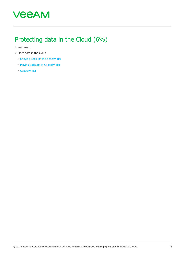#### Protecting data in the Cloud (6%)

- Store data in the Cloud
	- [Copying Backups to Capacity Tier](https://helpcenter.veeam.com/docs/backup/hyperv/capacity_tier_copy.html?ver=110)
	- [Moving Backups to Capacity Tier](https://helpcenter.veeam.com/docs/backup/hyperv/capacity_tier_move.html?ver=110)
	- [Capacity Tier](https://helpcenter.veeam.com/docs/backup/hyperv/capacity_tier.html?ver=110)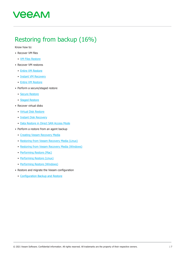#### Restoring from backup (16%)

- Recover VM files
	- [VM Files Restore](https://helpcenter.veeam.com/docs/backup/vsphere/vmfile_recovery.html?ver=110)
- Recover VM restores
	- [Entire VM Restore](https://helpcenter.veeam.com/docs/backup/vsphere/full_recovery.html?ver=110)
	- **[Instant VM Recovery](https://helpcenter.veeam.com/docs/backup/vsphere/instant_recovery.html?ver=110)**
	- [Entire VM Restore](https://helpcenter.veeam.com/docs/backup/vsphere/full_recovery.html?ver=110)
- Perform a secure/staged restore
	- [Secure Restore](https://helpcenter.veeam.com/docs/backup/vsphere/av_scan_about.html?ver=110)
	- [Staged Restore](https://helpcenter.veeam.com/docs/backup/vsphere/staged_restore_about.html?ver=110)
- Recover virtual disks
	- [Virtual Disk Restore](https://helpcenter.veeam.com/docs/backup/vsphere/virtual_drive_recovery.html?ver=110)
	- [Instant Disk Recovery](https://helpcenter.veeam.com/docs/backup/vsphere/instant_disk_recovery.html?ver=110)
	- [Data Restore in Direct SAN Access Mode](https://helpcenter.veeam.com/docs/backup/vsphere/direct_san_access_writing.html?zoom_highlight=thin&ver=110)
- Perform a restore from an agent backup
	- [Creating Veeam Recovery Media](https://helpcenter.veeam.com/docs/agentforwindows/userguide/image_create.html?ver=50)
	- [Restoring from Veeam Recovery Media \(Linux\)](https://helpcenter.veeam.com/docs/agentforlinux/userguide/baremetal.html?ver=50)
	- [Restoring from Veeam Recovery Media \(Windows\)](https://helpcenter.veeam.com/docs/agentforwindows/userguide/image_boot.html?ver=50)
	- [Performing Restore \(Mac\)](https://helpcenter.veeam.com/docs/agentformac/userguide/disaster_recovery.html?ver=10)
	- [Performing Restore \(Linux\)](https://helpcenter.veeam.com/docs/agentforlinux/userguide/disaster_recovery.html?ver=50)
	- [Performing Restore \(Windows\)](https://helpcenter.veeam.com/docs/agentforwindows/userguide/disaster_recovery.html?ver=50)
- Restore and migrate the Veeam configuration
	- [Configuration Backup and Restore](https://helpcenter.veeam.com/docs/backup/vsphere/vbr_config.html?ver=110)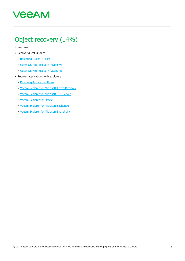## Object recovery (14%)

- Recover guest OS files
	- [Restoring Guest OS Files](https://helpcenter.veeam.com/docs/backup/qsg_vsphere/flr.html?ver=110)
	- [Guest OS File Recovery](https://helpcenter.veeam.com/docs/backup/hyperv/guest_file_recovery.html?ver=110) (Hyper-V)
	- [Guest OS File Recovery](https://helpcenter.veeam.com/docs/backup/vsphere/guest_file_recovery.html?ver=110) (vSphere)
- Recover applications with explorers
	- [Restoring Application Items](https://helpcenter.veeam.com/docs/backup/qsg_vsphere/recover_database.html?ver=110)
	- [Veeam Explorer for Microsoft Active Directory](https://helpcenter.veeam.com/docs/backup/explorers/vead_user_guide.html?ver=110)
	- [Veeam Explorer for Microsoft SQL Server](https://helpcenter.veeam.com/docs/backup/explorers/vesql_user_guide.html?ver=110)
	- [Veeam Explorer for Oracle](https://helpcenter.veeam.com/docs/backup/explorers/veor_user_guide.html?ver=110)
	- [Veeam Explorer for Microsoft Exchange](https://helpcenter.veeam.com/docs/backup/explorers/vex_user_guide.html?ver=110)
	- [Veeam Explorer for Microsoft SharePoint](https://helpcenter.veeam.com/docs/backup/explorers/vesp_user_guide.html?ver=110)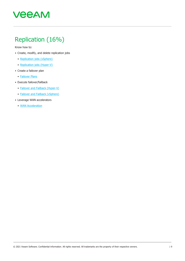### Replication (16%)

- Create, modify, and delete replication jobs
	- [Replication jobs \(vSphere\)](https://helpcenter.veeam.com/docs/backup/vsphere/replica_job.html?ver=110)
	- [Replication jobs \(Hyper-V\)](https://helpcenter.veeam.com/docs/backup/hyperv/replica_job.html?ver=110)
- Create a failover plan
	- [Failover Plans](https://helpcenter.veeam.com/docs/backup/hyperv/failover_plan.html?&ver=110)
- Execute failover/failback
	- [Failover and Failback \(Hyper-V\)](https://helpcenter.veeam.com/docs/backup/hyperv/failover_failback.html?ver=110)
	- [Failover and Failback \(vSphere\)](https://helpcenter.veeam.com/docs/backup/vsphere/failover_failback.html?ver=110)
- Leverage WAN accelerators
	- [WAN Acceleration](https://helpcenter.veeam.com/docs/backup/hyperv/wan_acceleration.html?ver=110)